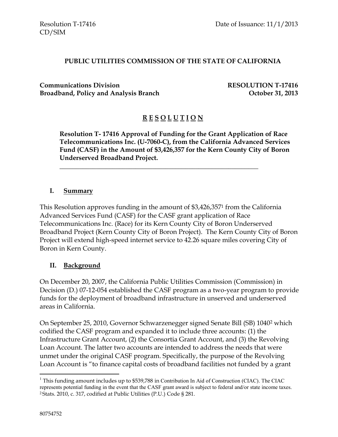#### **PUBLIC UTILITIES COMMISSION OF THE STATE OF CALIFORNIA**

**Communications Division RESOLUTION T-17416 Broadband, Policy and Analysis Branch Channel** *Stockber* **31, 2013** 

## **R E S O L U T I O N**

**Resolution T- 17416 Approval of Funding for the Grant Application of Race Telecommunications Inc. (U-7060-C), from the California Advanced Services Fund (CASF) in the Amount of \$3,426,357 for the Kern County City of Boron Underserved Broadband Project.**

\_\_\_\_\_\_\_\_\_\_\_\_\_\_\_\_\_\_\_\_\_\_\_\_\_\_\_\_\_\_\_\_\_\_\_\_\_\_\_\_\_\_\_\_\_\_\_\_\_\_\_\_\_\_\_\_\_\_\_\_

#### **I. Summary**

This Resolution approves funding in the amount of \$3,426,357<sup>1</sup> from the California Advanced Services Fund (CASF) for the CASF grant application of Race Telecommunications Inc. (Race) for its Kern County City of Boron Underserved Broadband Project (Kern County City of Boron Project). The Kern County City of Boron Project will extend high-speed internet service to 42.26 square miles covering City of Boron in Kern County.

#### **II. Background**

On December 20, 2007, the California Public Utilities Commission (Commission) in Decision (D.) 07-12-054 established the CASF program as a two-year program to provide funds for the deployment of broadband infrastructure in unserved and underserved areas in California.

On September 25, 2010, Governor Schwarzenegger signed Senate Bill (SB) 1040<sup>2</sup> which codified the CASF program and expanded it to include three accounts: (1) the Infrastructure Grant Account, (2) the Consortia Grant Account, and (3) the Revolving Loan Account. The latter two accounts are intended to address the needs that were unmet under the original CASF program. Specifically, the purpose of the Revolving Loan Account is "to finance capital costs of broadband facilities not funded by a grant

 $\overline{a}$ 

<sup>&</sup>lt;sup>1</sup> This funding amount includes up to \$539,788 in Contribution In Aid of Construction (CIAC). The CIAC represents potential funding in the event that the CASF grant award is subject to federal and/or state income taxes. <sup>2</sup> Stats. 2010, c. 317, codified at Public Utilities (P.U.) Code § 281.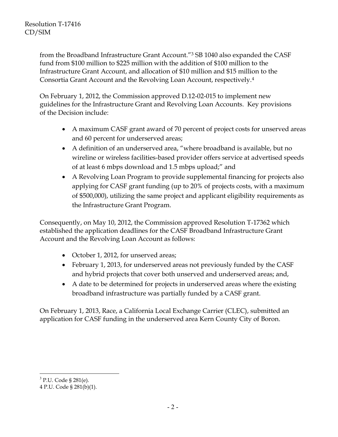from the Broadband Infrastructure Grant Account."<sup>3</sup> SB 1040 also expanded the CASF fund from \$100 million to \$225 million with the addition of \$100 million to the Infrastructure Grant Account, and allocation of \$10 million and \$15 million to the Consortia Grant Account and the Revolving Loan Account, respectively.<sup>4</sup>

On February 1, 2012, the Commission approved D.12-02-015 to implement new guidelines for the Infrastructure Grant and Revolving Loan Accounts. Key provisions of the Decision include:

- A maximum CASF grant award of 70 percent of project costs for unserved areas and 60 percent for underserved areas;
- A definition of an underserved area, "where broadband is available, but no wireline or wireless facilities-based provider offers service at advertised speeds of at least 6 mbps download and 1.5 mbps upload;" and
- A Revolving Loan Program to provide supplemental financing for projects also applying for CASF grant funding (up to 20% of projects costs, with a maximum of \$500,000), utilizing the same project and applicant eligibility requirements as the Infrastructure Grant Program.

Consequently, on May 10, 2012, the Commission approved Resolution T-17362 which established the application deadlines for the CASF Broadband Infrastructure Grant Account and the Revolving Loan Account as follows:

- October 1, 2012, for unserved areas;
- February 1, 2013, for underserved areas not previously funded by the CASF and hybrid projects that cover both unserved and underserved areas; and,
- A date to be determined for projects in underserved areas where the existing broadband infrastructure was partially funded by a CASF grant.

On February 1, 2013, Race, a California Local Exchange Carrier (CLEC), submitted an application for CASF funding in the underserved area Kern County City of Boron.

 $\overline{a}$ 

<sup>&</sup>lt;sup>3</sup> P.U. Code § 281(e).

<sup>4</sup> P.U. Code § 281(b)(1).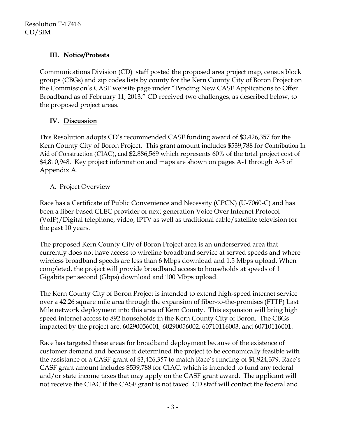## **III. Notice/Protests**

Communications Division (CD) staff posted the proposed area project map, census block groups (CBGs) and zip codes lists by county for the Kern County City of Boron Project on the Commission's CASF website page under "Pending New CASF Applications to Offer Broadband as of February 11, 2013." CD received two challenges, as described below, to the proposed project areas.

## **IV. Discussion**

This Resolution adopts CD's recommended CASF funding award of \$3,426,357 for the Kern County City of Boron Project. This grant amount includes \$539,788 for Contribution In Aid of Construction (CIAC), and \$2,886,569 which represents 60% of the total project cost of \$4,810,948. Key project information and maps are shown on pages A-1 through A-3 of Appendix A.

## A. Project Overview

Race has a Certificate of Public Convenience and Necessity (CPCN) (U-7060-C) and has been a fiber-based CLEC provider of next generation Voice Over Internet Protocol (VoIP)/Digital telephone, video, IPTV as well as traditional cable/satellite television for the past 10 years.

The proposed Kern County City of Boron Project area is an underserved area that currently does not have access to wireline broadband service at served speeds and where wireless broadband speeds are less than 6 Mbps download and 1.5 Mbps upload. When completed, the project will provide broadband access to households at speeds of 1 Gigabits per second (Gbps) download and 100 Mbps upload.

The Kern County City of Boron Project is intended to extend high-speed internet service over a 42.26 square mile area through the expansion of fiber-to-the-premises (FTTP) Last Mile network deployment into this area of Kern County. This expansion will bring high speed internet access to 892 households in the Kern County City of Boron. The CBGs impacted by the project are: 60290056001, 60290056002, 60710116003, and 60710116001.

Race has targeted these areas for broadband deployment because of the existence of customer demand and because it determined the project to be economically feasible with the assistance of a CASF grant of \$3,426,357 to match Race's funding of \$1,924,379. Race's CASF grant amount includes \$539,788 for CIAC, which is intended to fund any federal and/or state income taxes that may apply on the CASF grant award. The applicant will not receive the CIAC if the CASF grant is not taxed. CD staff will contact the federal and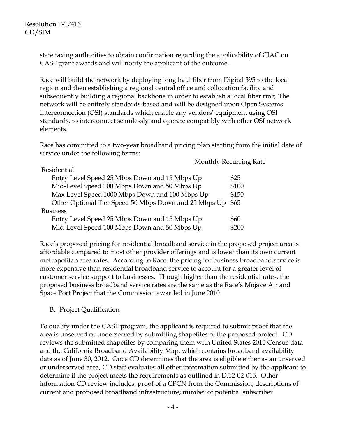state taxing authorities to obtain confirmation regarding the applicability of CIAC on CASF grant awards and will notify the applicant of the outcome.

Race will build the network by deploying long haul fiber from Digital 395 to the local region and then establishing a regional central office and collocation facility and subsequently building a regional backbone in order to establish a local fiber ring. The network will be entirely standards-based and will be designed upon Open Systems Interconnection (OSI) standards which enable any vendors' equipment using OSI standards, to interconnect seamlessly and operate compatibly with other OSI network elements.

Race has committed to a two-year broadband pricing plan starting from the initial date of service under the following terms:

Monthly Recurring Rate

| Residential                                           |       |
|-------------------------------------------------------|-------|
| Entry Level Speed 25 Mbps Down and 15 Mbps Up         | \$25  |
| Mid-Level Speed 100 Mbps Down and 50 Mbps Up          | \$100 |
| Max Level Speed 1000 Mbps Down and 100 Mbps Up        | \$150 |
| Other Optional Tier Speed 50 Mbps Down and 25 Mbps Up | \$65  |
| <b>Business</b>                                       |       |
| Entry Level Speed 25 Mbps Down and 15 Mbps Up         | \$60  |
| Mid-Level Speed 100 Mbps Down and 50 Mbps Up          | \$200 |

Race's proposed pricing for residential broadband service in the proposed project area is affordable compared to most other provider offerings and is lower than its own current metropolitan area rates. According to Race, the pricing for business broadband service is more expensive than residential broadband service to account for a greater level of customer service support to businesses. Though higher than the residential rates, the proposed business broadband service rates are the same as the Race's Mojave Air and Space Port Project that the Commission awarded in June 2010.

### B. Project Qualification

To qualify under the CASF program, the applicant is required to submit proof that the area is unserved or underserved by submitting shapefiles of the proposed project. CD reviews the submitted shapefiles by comparing them with United States 2010 Census data and the California Broadband Availability Map, which contains broadband availability data as of June 30, 2012. Once CD determines that the area is eligible either as an unserved or underserved area, CD staff evaluates all other information submitted by the applicant to determine if the project meets the requirements as outlined in D.12-02-015. Other information CD review includes: proof of a CPCN from the Commission; descriptions of current and proposed broadband infrastructure; number of potential subscriber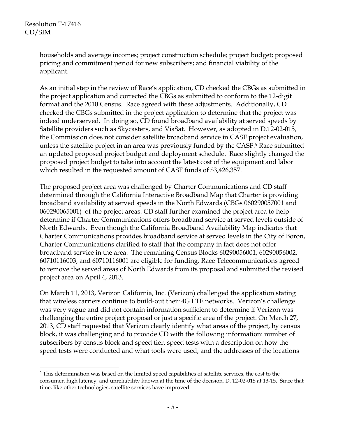$\overline{a}$ 

households and average incomes; project construction schedule; project budget; proposed pricing and commitment period for new subscribers; and financial viability of the applicant.

As an initial step in the review of Race's application, CD checked the CBGs as submitted in the project application and corrected the CBGs as submitted to conform to the 12-digit format and the 2010 Census. Race agreed with these adjustments. Additionally, CD checked the CBGs submitted in the project application to determine that the project was indeed underserved. In doing so, CD found broadband availability at served speeds by Satellite providers such as Skycasters, and ViaSat. However, as adopted in D.12-02-015, the Commission does not consider satellite broadband service in CASF project evaluation, unless the satellite project in an area was previously funded by the CASF.<sup>5</sup> Race submitted an updated proposed project budget and deployment schedule. Race slightly changed the proposed project budget to take into account the latest cost of the equipment and labor which resulted in the requested amount of CASF funds of \$3,426,357.

The proposed project area was challenged by Charter Communications and CD staff determined through the California Interactive Broadband Map that Charter is providing broadband availability at served speeds in the North Edwards (CBGs 060290057001 and 060290065001) of the project areas. CD staff further examined the project area to help determine if Charter Communications offers broadband service at served levels outside of North Edwards. Even though the California Broadband Availability Map indicates that Charter Communications provides broadband service at served levels in the City of Boron, Charter Communications clarified to staff that the company in fact does not offer broadband service in the area. The remaining Census Blocks 60290056001, 60290056002, 60710116003, and 60710116001 are eligible for funding. Race Telecommunications agreed to remove the served areas of North Edwards from its proposal and submitted the revised project area on April 4, 2013.

On March 11, 2013, Verizon California, Inc. (Verizon) challenged the application stating that wireless carriers continue to build-out their 4G LTE networks. Verizon's challenge was very vague and did not contain information sufficient to determine if Verizon was challenging the entire project proposal or just a specific area of the project. On March 27, 2013, CD staff requested that Verizon clearly identify what areas of the project, by census block, it was challenging and to provide CD with the following information: number of subscribers by census block and speed tier, speed tests with a description on how the speed tests were conducted and what tools were used, and the addresses of the locations

 $<sup>5</sup>$  This determination was based on the limited speed capabilities of satellite services, the cost to the</sup> consumer, high latency, and unreliability known at the time of the decision, D. 12-02-015 at 13-15. Since that time, like other technologies, satellite services have improved.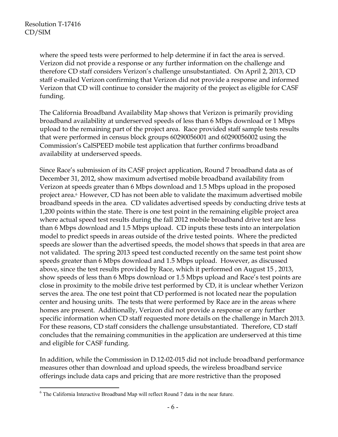$\overline{a}$ 

where the speed tests were performed to help determine if in fact the area is served. Verizon did not provide a response or any further information on the challenge and therefore CD staff considers Verizon's challenge unsubstantiated. On April 2, 2013, CD staff e-mailed Verizon confirming that Verizon did not provide a response and informed Verizon that CD will continue to consider the majority of the project as eligible for CASF funding.

The California Broadband Availability Map shows that Verizon is primarily providing broadband availability at underserved speeds of less than 6 Mbps download or 1 Mbps upload to the remaining part of the project area. Race provided staff sample tests results that were performed in census block groups 60290056001 and 60290056002 using the Commission's CalSPEED mobile test application that further confirms broadband availability at underserved speeds.

Since Race's submission of its CASF project application, Round 7 broadband data as of December 31, 2012, show maximum advertised mobile broadband availability from Verizon at speeds greater than 6 Mbps download and 1.5 Mbps upload in the proposed project area.<sup>6</sup> However, CD has not been able to validate the maximum advertised mobile broadband speeds in the area. CD validates advertised speeds by conducting drive tests at 1,200 points within the state. There is one test point in the remaining eligible project area where actual speed test results during the fall 2012 mobile broadband drive test are less than 6 Mbps download and 1.5 Mbps upload. CD inputs these tests into an interpolation model to predict speeds in areas outside of the drive tested points. Where the predicted speeds are slower than the advertised speeds, the model shows that speeds in that area are not validated. The spring 2013 speed test conducted recently on the same test point show speeds greater than 6 Mbps download and 1.5 Mbps upload. However, as discussed above, since the test results provided by Race, which it performed on August 15 , 2013, show speeds of less than 6 Mbps download or 1.5 Mbps upload and Race's test points are close in proximity to the mobile drive test performed by CD, it is unclear whether Verizon serves the area. The one test point that CD performed is not located near the population center and housing units. The tests that were performed by Race are in the areas where homes are present. Additionally, Verizon did not provide a response or any further specific information when CD staff requested more details on the challenge in March 2013. For these reasons, CD staff considers the challenge unsubstantiated. Therefore, CD staff concludes that the remaining communities in the application are underserved at this time and eligible for CASF funding.

In addition, while the Commission in D.12-02-015 did not include broadband performance measures other than download and upload speeds, the wireless broadband service offerings include data caps and pricing that are more restrictive than the proposed

 $6$  The California Interactive Broadband Map will reflect Round 7 data in the near future.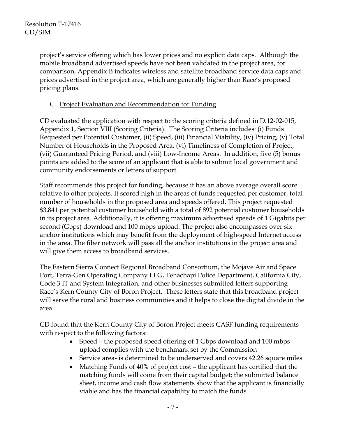project's service offering which has lower prices and no explicit data caps. Although the mobile broadband advertised speeds have not been validated in the project area, for comparison, Appendix B indicates wireless and satellite broadband service data caps and prices advertised in the project area, which are generally higher than Race's proposed pricing plans.

## C. Project Evaluation and Recommendation for Funding

CD evaluated the application with respect to the scoring criteria defined in D.12-02-015, Appendix 1, Section VIII (Scoring Criteria). The Scoring Criteria includes: (i) Funds Requested per Potential Customer, (ii) Speed, (iii) Financial Viability, (iv) Pricing, (v) Total Number of Households in the Proposed Area, (vi) Timeliness of Completion of Project, (vii) Guaranteed Pricing Period, and (viii) Low-Income Areas. In addition, five (5) bonus points are added to the score of an applicant that is able to submit local government and community endorsements or letters of support.

Staff recommends this project for funding, because it has an above average overall score relative to other projects. It scored high in the areas of funds requested per customer, total number of households in the proposed area and speeds offered. This project requested \$3,841 per potential customer household with a total of 892 potential customer households in its project area. Additionally, it is offering maximum advertised speeds of 1 Gigabits per second (Gbps) download and 100 mbps upload. The project also encompasses over six anchor institutions which may benefit from the deployment of high-speed Internet access in the area. The fiber network will pass all the anchor institutions in the project area and will give them access to broadband services.

The Eastern Sierra Connect Regional Broadband Consortium, the Mojave Air and Space Port, Terra-Gen Operating Company LLG, Tehachapi Police Department, California City, Code 3 IT and System Integration, and other businesses submitted letters supporting Race's Kern County City of Boron Project. These letters state that this broadband project will serve the rural and business communities and it helps to close the digital divide in the area.

CD found that the Kern County City of Boron Project meets CASF funding requirements with respect to the following factors:

- Speed the proposed speed offering of 1 Gbps download and 100 mbps upload complies with the benchmark set by the Commission
- Service area- is determined to be underserved and covers 42.26 square miles
- Matching Funds of 40% of project cost the applicant has certified that the matching funds will come from their capital budget; the submitted balance sheet, income and cash flow statements show that the applicant is financially viable and has the financial capability to match the funds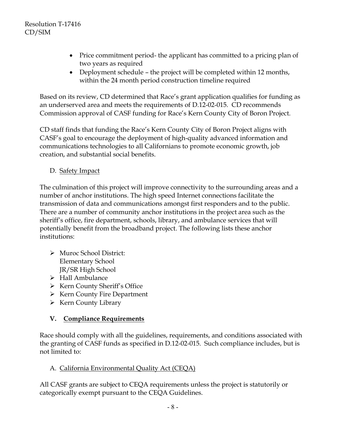- Price commitment period- the applicant has committed to a pricing plan of two years as required
- Deployment schedule the project will be completed within 12 months, within the 24 month period construction timeline required

Based on its review, CD determined that Race's grant application qualifies for funding as an underserved area and meets the requirements of D.12-02-015. CD recommends Commission approval of CASF funding for Race's Kern County City of Boron Project.

CD staff finds that funding the Race's Kern County City of Boron Project aligns with CASF's goal to encourage the deployment of high-quality advanced information and communications technologies to all Californians to promote economic growth, job creation, and substantial social benefits.

D. Safety Impact

The culmination of this project will improve connectivity to the surrounding areas and a number of anchor institutions. The high speed Internet connections facilitate the transmission of data and communications amongst first responders and to the public. There are a number of community anchor institutions in the project area such as the sheriff's office, fire department, schools, library, and ambulance services that will potentially benefit from the broadband project. The following lists these anchor institutions:

- Muroc School District: Elementary School JR/SR High School
- $\triangleright$  Hall Ambulance
- $\triangleright$  Kern County Sheriff's Office
- $\triangleright$  Kern County Fire Department
- $\triangleright$  Kern County Library

## **V. Compliance Requirements**

Race should comply with all the guidelines, requirements, and conditions associated with the granting of CASF funds as specified in D.12-02-015. Such compliance includes, but is not limited to:

## A. California Environmental Quality Act (CEQA)

All CASF grants are subject to CEQA requirements unless the project is statutorily or categorically exempt pursuant to the CEQA Guidelines.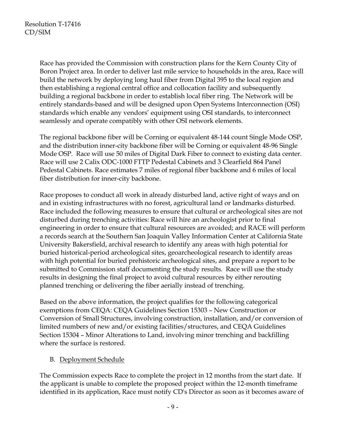Race has provided the Commission with construction plans for the Kern County City of Boron Project area. In order to deliver last mile service to households in the area, Race will build the network by deploying long haul fiber from Digital 395 to the local region and then establishing a regional central office and collocation facility and subsequently building a regional backbone in order to establish local fiber ring. The Network will be entirely standards-based and will be designed upon Open Systems Interconnection (OSI) standards which enable any vendors' equipment using OSI standards, to interconnect seamlessly and operate compatibly with other OSI network elements.

The regional backbone fiber will be Corning or equivalent 48-144 count Single Mode OSP, and the distribution inner-city backbone fiber will be Corning or equivalent 48-96 Single Mode OSP. Race will use 50 miles of Digital Dark Fiber to connect to existing data center. Race will use 2 Calix ODC-1000 FTTP Pedestal Cabinets and 3 Clearfield 864 Panel Pedestal Cabinets. Race estimates 7 miles of regional fiber backbone and 6 miles of local fiber distribution for inner-city backbone.

Race proposes to conduct all work in already disturbed land, active right of ways and on and in existing infrastructures with no forest, agricultural land or landmarks disturbed. Race included the following measures to ensure that cultural or archeological sites are not disturbed during trenching activities: Race will hire an archeologist prior to final engineering in order to ensure that cultural resources are avoided; and RACE will perform a records search at the Southern San Joaquin Valley Information Center at California State University Bakersfield, archival research to identify any areas with high potential for buried historical-period archeological sites, geoarcheological research to identify areas with high potential for buried prehistoric archeological sites, and prepare a report to be submitted to Commission staff documenting the study results. Race will use the study results in designing the final project to avoid cultural resources by either rerouting planned trenching or delivering the fiber aerially instead of trenching.

Based on the above information, the project qualifies for the following categorical exemptions from CEQA: CEQA Guidelines Section 15303 – New Construction or Conversion of Small Structures, involving construction, installation, and/or conversion of limited numbers of new and/or existing facilities/structures, and CEQA Guidelines Section 15304 – Minor Alterations to Land, involving minor trenching and backfilling where the surface is restored.

### B. Deployment Schedule

The Commission expects Race to complete the project in 12 months from the start date. If the applicant is unable to complete the proposed project within the 12-month timeframe identified in its application, Race must notify CD's Director as soon as it becomes aware of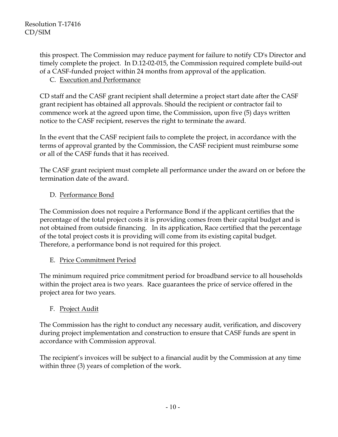this prospect. The Commission may reduce payment for failure to notify CD's Director and timely complete the project. In D.12-02-015, the Commission required complete build-out of a CASF-funded project within 24 months from approval of the application.

### C. Execution and Performance

CD staff and the CASF grant recipient shall determine a project start date after the CASF grant recipient has obtained all approvals. Should the recipient or contractor fail to commence work at the agreed upon time, the Commission, upon five (5) days written notice to the CASF recipient, reserves the right to terminate the award.

In the event that the CASF recipient fails to complete the project, in accordance with the terms of approval granted by the Commission, the CASF recipient must reimburse some or all of the CASF funds that it has received.

The CASF grant recipient must complete all performance under the award on or before the termination date of the award.

## D. Performance Bond

The Commission does not require a Performance Bond if the applicant certifies that the percentage of the total project costs it is providing comes from their capital budget and is not obtained from outside financing. In its application, Race certified that the percentage of the total project costs it is providing will come from its existing capital budget. Therefore, a performance bond is not required for this project.

### E. Price Commitment Period

The minimum required price commitment period for broadband service to all households within the project area is two years. Race guarantees the price of service offered in the project area for two years.

## F. Project Audit

The Commission has the right to conduct any necessary audit, verification, and discovery during project implementation and construction to ensure that CASF funds are spent in accordance with Commission approval.

The recipient's invoices will be subject to a financial audit by the Commission at any time within three (3) years of completion of the work.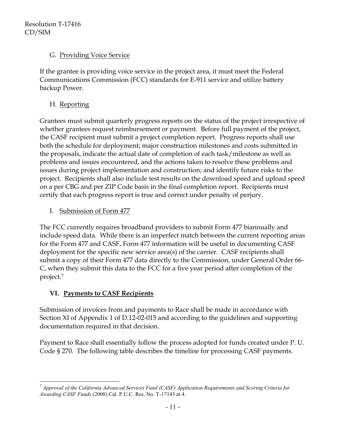Resolution T-17416 CD/SIM

### G. Providing Voice Service

If the grantee is providing voice service in the project area, it must meet the Federal Communications Commission (FCC) standards for E-911 service and utilize battery backup Power.

## H. Reporting

Grantees must submit quarterly progress reports on the status of the project irrespective of whether grantees request reimbursement or payment. Before full payment of the project, the CASF recipient must submit a project completion report. Progress reports shall use both the schedule for deployment; major construction milestones and costs submitted in the proposals, indicate the actual date of completion of each task/milestone as well as problems and issues encountered, and the actions taken to resolve these problems and issues during project implementation and construction; and identify future risks to the project. Recipients shall also include test results on the download speed and upload speed on a per CBG and per ZIP Code basis in the final completion report. Recipients must certify that each progress report is true and correct under penalty of perjury.

I. Submission of Form 477

The FCC currently requires broadband providers to submit Form 477 biannually and include speed data. While there is an imperfect match between the current reporting areas for the Form 477 and CASF, Form 477 information will be useful in documenting CASF deployment for the specific new service area(s) of the carrier. CASF recipients shall submit a copy of their Form 477 data directly to the Commission, under General Order 66- C, when they submit this data to the FCC for a five year period after completion of the project.<sup>7</sup>

## **VI. Payments to CASF Recipients**

Submission of invoices from and payments to Race shall be made in accordance with Section XI of Appendix 1 of D.12-02-015 and according to the guidelines and supporting documentation required in that decision.

Payment to Race shall essentially follow the process adopted for funds created under P. U. Code § 270. The following table describes the timeline for processing CASF payments.

 $\overline{a}$ <sup>7</sup> *Approval of the California Advanced Services Fund (CASF) Application Requirements and Scoring Criteria for Awarding CASF Funds* (2008) Cal. P.U.C. Res. No. T-17143 at 4.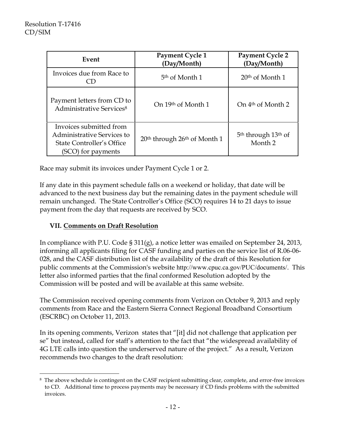$\overline{a}$ 

| Event                                                                                                    | Payment Cycle 1<br>(Day/Month)                       | <b>Payment Cycle 2</b><br>(Day/Month)                             |
|----------------------------------------------------------------------------------------------------------|------------------------------------------------------|-------------------------------------------------------------------|
| Invoices due from Race to                                                                                | 5 <sup>th</sup> of Month 1                           | $20th$ of Month 1                                                 |
| Payment letters from CD to<br>Administrative Services <sup>8</sup>                                       | On 19th of Month 1                                   | On 4 <sup>th</sup> of Month 2                                     |
| Invoices submitted from<br>Administrative Services to<br>State Controller's Office<br>(SCO) for payments | 20 <sup>th</sup> through 26 <sup>th</sup> of Month 1 | 5 <sup>th</sup> through 13 <sup>th</sup> of<br>Month <sub>2</sub> |

Race may submit its invoices under Payment Cycle 1 or 2.

If any date in this payment schedule falls on a weekend or holiday, that date will be advanced to the next business day but the remaining dates in the payment schedule will remain unchanged. The State Controller's Office (SCO) requires 14 to 21 days to issue payment from the day that requests are received by SCO.

### **VII. Comments on Draft Resolution**

In compliance with P.U. Code § 311(g), a notice letter was emailed on September 24, 2013, informing all applicants filing for CASF funding and parties on the service list of R.06-06- 028, and the CASF distribution list of the availability of the draft of this Resolution for public comments at the Commission's website <http://www.cpuc.ca.gov/PUC/documents/>. This letter also informed parties that the final conformed Resolution adopted by the Commission will be posted and will be available at this same website.

The Commission received opening comments from Verizon on October 9, 2013 and reply comments from Race and the Eastern Sierra Connect Regional Broadband Consortium (ESCRBC) on October 11, 2013.

In its opening comments, Verizon states that "[it] did not challenge that application per se" but instead, called for staff's attention to the fact that "the widespread availability of 4G LTE calls into question the underserved nature of the project." As a result, Verizon recommends two changes to the draft resolution:

<sup>8</sup> The above schedule is contingent on the CASF recipient submitting clear, complete, and error-free invoices to CD. Additional time to process payments may be necessary if CD finds problems with the submitted invoices.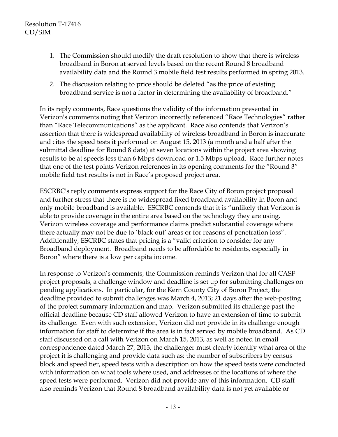- 1. The Commission should modify the draft resolution to show that there is wireless broadband in Boron at served levels based on the recent Round 8 broadband availability data and the Round 3 mobile field test results performed in spring 2013.
- 2. The discussion relating to price should be deleted "as the price of existing broadband service is not a factor in determining the availability of broadband."

In its reply comments, Race questions the validity of the information presented in Verizon's comments noting that Verizon incorrectly referenced "Race Technologies" rather than "Race Telecommunications" as the applicant. Race also contends that Verizon's assertion that there is widespread availability of wireless broadband in Boron is inaccurate and cites the speed tests it performed on August 15, 2013 (a month and a half after the submittal deadline for Round 8 data) at seven locations within the project area showing results to be at speeds less than 6 Mbps download or 1.5 Mbps upload. Race further notes that one of the test points Verizon references in its opening comments for the "Round 3" mobile field test results is not in Race's proposed project area.

ESCRBC's reply comments express support for the Race City of Boron project proposal and further stress that there is no widespread fixed broadband availability in Boron and only mobile broadband is available. ESCRBC contends that it is "unlikely that Verizon is able to provide coverage in the entire area based on the technology they are using. Verizon wireless coverage and performance claims predict substantial coverage where there actually may not be due to 'black out' areas or for reasons of penetration loss". Additionally, ESCRBC states that pricing is a "valid criterion to consider for any Broadband deployment. Broadband needs to be affordable to residents, especially in Boron" where there is a low per capita income.

In response to Verizon's comments, the Commission reminds Verizon that for all CASF project proposals, a challenge window and deadline is set up for submitting challenges on pending applications. In particular, for the Kern County City of Boron Project, the deadline provided to submit challenges was March 4, 2013; 21 days after the web-posting of the project summary information and map. Verizon submitted its challenge past the official deadline because CD staff allowed Verizon to have an extension of time to submit its challenge. Even with such extension, Verizon did not provide in its challenge enough information for staff to determine if the area is in fact served by mobile broadband. As CD staff discussed on a call with Verizon on March 15, 2013, as well as noted in email correspondence dated March 27, 2013, the challenger must clearly identify what area of the project it is challenging and provide data such as: the number of subscribers by census block and speed tier, speed tests with a description on how the speed tests were conducted with information on what tools where used, and addresses of the locations of where the speed tests were performed. Verizon did not provide any of this information. CD staff also reminds Verizon that Round 8 broadband availability data is not yet available or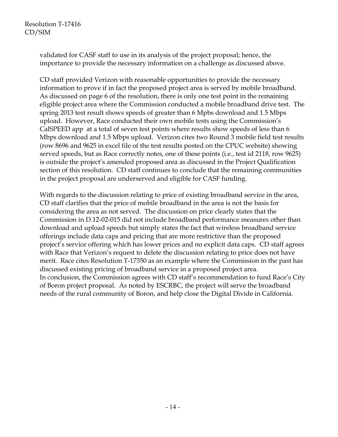validated for CASF staff to use in its analysis of the project proposal; hence, the importance to provide the necessary information on a challenge as discussed above.

CD staff provided Verizon with reasonable opportunities to provide the necessary information to prove if in fact the proposed project area is served by mobile broadband. As discussed on page 6 of the resolution, there is only one test point in the remaining eligible project area where the Commission conducted a mobile broadband drive test. The spring 2013 test result shows speeds of greater than 6 Mpbs download and 1.5 Mbps upload. However, Race conducted their own mobile tests using the Commission's CalSPEED app at a total of seven test points where results show speeds of less than 6 Mbps download and 1.5 Mbps upload. Verizon cites two Round 3 mobile field test results (row 8696 and 9625 in excel file of the test results posted on the CPUC website) showing served speeds, but as Race correctly notes, one of these points (i.e., test id 2118, row 9625) is outside the project's amended proposed area as discussed in the Project Qualification section of this resolution. CD staff continues to conclude that the remaining communities in the project proposal are underserved and eligible for CASF funding.

With regards to the discussion relating to price of existing broadband service in the area, CD staff clarifies that the price of mobile broadband in the area is not the basis for considering the area as not served. The discussion on price clearly states that the Commission in D.12-02-015 did not include broadband performance measures other than download and upload speeds but simply states the fact that wireless broadband service offerings include data caps and pricing that are more restrictive than the proposed project's service offering which has lower prices and no explicit data caps. CD staff agrees with Race that Verizon's request to delete the discussion relating to price does not have merit. Race cites Resolution T-17350 as an example where the Commission in the past has discussed existing pricing of broadband service in a proposed project area. In conclusion, the Commission agrees with CD staff's recommendation to fund Race's City of Boron project proposal. As noted by ESCRBC, the project will serve the broadband needs of the rural community of Boron, and help close the Digital Divide in California.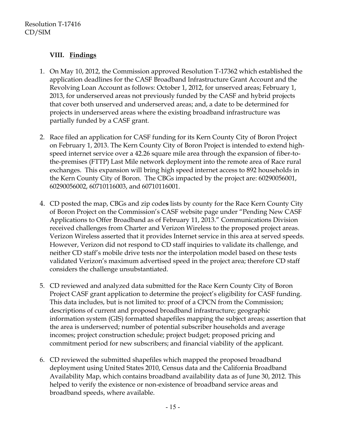## **VIII. Findings**

- 1. On May 10, 2012, the Commission approved Resolution T-17362 which established the application deadlines for the CASF Broadband Infrastructure Grant Account and the Revolving Loan Account as follows: October 1, 2012, for unserved areas; February 1, 2013, for underserved areas not previously funded by the CASF and hybrid projects that cover both unserved and underserved areas; and, a date to be determined for projects in underserved areas where the existing broadband infrastructure was partially funded by a CASF grant.
- 2. Race filed an application for CASF funding for its Kern County City of Boron Project on February 1, 2013. The Kern County City of Boron Project is intended to extend highspeed internet service over a 42.26 square mile area through the expansion of fiber-tothe-premises (FTTP) Last Mile network deployment into the remote area of Race rural exchanges. This expansion will bring high speed internet access to 892 households in the Kern County City of Boron. The CBGs impacted by the project are: 60290056001, 60290056002, 60710116003, and 60710116001.
- 4. CD posted the map, CBGs and zip code**s** lists by county for the Race Kern County City of Boron Project on the Commission's CASF website page under "Pending New CASF Applications to Offer Broadband as of February 11, 2013." Communications Division received challenges from Charter and Verizon Wireless to the proposed project areas. Verizon Wireless asserted that it provides Internet service in this area at served speeds. However, Verizon did not respond to CD staff inquiries to validate its challenge, and neither CD staff's mobile drive tests nor the interpolation model based on these tests validated Verizon's maximum advertised speed in the project area; therefore CD staff considers the challenge unsubstantiated.
- 5. CD reviewed and analyzed data submitted for the Race Kern County City of Boron Project CASF grant application to determine the project's eligibility for CASF funding. This data includes, but is not limited to: proof of a CPCN from the Commission; descriptions of current and proposed broadband infrastructure; geographic information system (GIS) formatted shapefiles mapping the subject areas; assertion that the area is underserved; number of potential subscriber households and average incomes; project construction schedule; project budget; proposed pricing and commitment period for new subscribers; and financial viability of the applicant.
- 6. CD reviewed the submitted shapefiles which mapped the proposed broadband deployment using United States 2010, Census data and the California Broadband Availability Map, which contains broadband availability data as of June 30, 2012. This helped to verify the existence or non-existence of broadband service areas and broadband speeds, where available.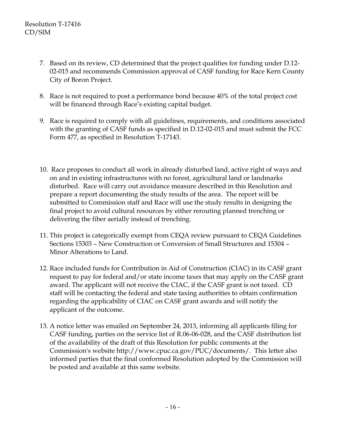- 7. Based on its review, CD determined that the project qualifies for funding under D.12- 02-015 and recommends Commission approval of CASF funding for Race Kern County City of Boron Project.
- 8. Race is not required to post a performance bond because 40% of the total project cost will be financed through Race's existing capital budget.
- 9. Race is required to comply with all guidelines, requirements, and conditions associated with the granting of CASF funds as specified in D.12-02-015 and must submit the FCC Form 477, as specified in Resolution T-17143.
- 10. Race proposes to conduct all work in already disturbed land, active right of ways and on and in existing infrastructures with no forest, agricultural land or landmarks disturbed. Race will carry out avoidance measure described in this Resolution and prepare a report documenting the study results of the area. The report will be submitted to Commission staff and Race will use the study results in designing the final project to avoid cultural resources by either rerouting planned trenching or delivering the fiber aerially instead of trenching.
- 11. This project is categorically exempt from CEQA review pursuant to CEQA Guidelines Sections 15303 – New Construction or Conversion of Small Structures and 15304 – Minor Alterations to Land.
- 12. Race included funds for Contribution in Aid of Construction (CIAC) in its CASF grant request to pay for federal and/or state income taxes that may apply on the CASF grant award. The applicant will not receive the CIAC, if the CASF grant is not taxed. CD staff will be contacting the federal and state taxing authorities to obtain confirmation regarding the applicability of CIAC on CASF grant awards and will notify the applicant of the outcome.
- 13. A notice letter was emailed on September 24, 2013, informing all applicants filing for CASF funding, parties on the service list of R.06-06-028, and the CASF distribution list of the availability of the draft of this Resolution for public comments at the Commission's website http://www.cpuc.ca.gov/PUC/documents/. This letter also informed parties that the final conformed Resolution adopted by the Commission will be posted and available at this same website.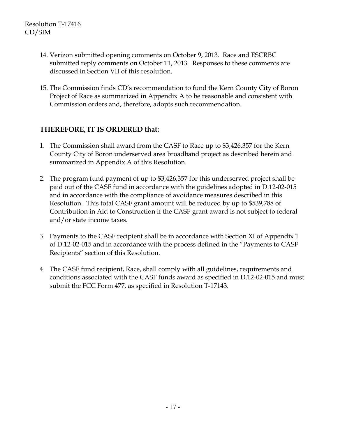- 14. Verizon submitted opening comments on October 9, 2013. Race and ESCRBC submitted reply comments on October 11, 2013. Responses to these comments are discussed in Section VII of this resolution.
- 15. The Commission finds CD's recommendation to fund the Kern County City of Boron Project of Race as summarized in Appendix A to be reasonable and consistent with Commission orders and, therefore, adopts such recommendation.

## **THEREFORE, IT IS ORDERED that:**

- 1. The Commission shall award from the CASF to Race up to \$3,426,357 for the Kern County City of Boron underserved area broadband project as described herein and summarized in Appendix A of this Resolution.
- 2. The program fund payment of up to \$3,426,357 for this underserved project shall be paid out of the CASF fund in accordance with the guidelines adopted in D.12-02-015 and in accordance with the compliance of avoidance measures described in this Resolution. This total CASF grant amount will be reduced by up to \$539,788 of Contribution in Aid to Construction if the CASF grant award is not subject to federal and/or state income taxes.
- 3. Payments to the CASF recipient shall be in accordance with Section XI of Appendix 1 of D.12-02-015 and in accordance with the process defined in the "Payments to CASF Recipients" section of this Resolution.
- 4. The CASF fund recipient, Race, shall comply with all guidelines, requirements and conditions associated with the CASF funds award as specified in D.12-02-015 and must submit the FCC Form 477, as specified in Resolution T-17143.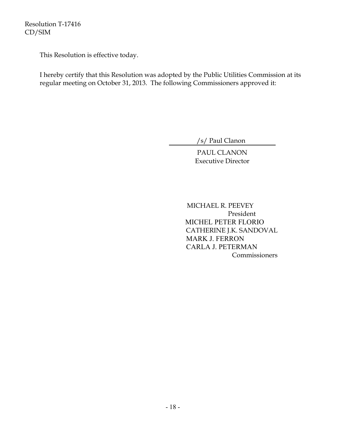Resolution T-17416 CD/SIM

This Resolution is effective today.

I hereby certify that this Resolution was adopted by the Public Utilities Commission at its regular meeting on October 31, 2013. The following Commissioners approved it:

/s/ Paul Clanon

PAUL CLANON Executive Director

 MICHAEL R. PEEVEY President MICHEL PETER FLORIO CATHERINE J.K. SANDOVAL MARK J. FERRON CARLA J. PETERMAN **Commissioners**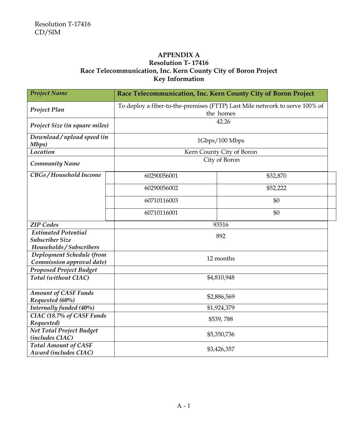#### **APPENDIX A Resolution T- 17416 Race Telecommunication, Inc. Kern County City of Boron Project Key Information**

| <b>Project Name</b>                                           | Race Telecommunication, Inc. Kern County City of Boron Project                           |          |  |
|---------------------------------------------------------------|------------------------------------------------------------------------------------------|----------|--|
| Project Plan                                                  | To deploy a fiber-to-the-premises (FTTP) Last Mile network to serve 100% of<br>the homes |          |  |
| Project Size (in square miles)                                | 42.26                                                                                    |          |  |
| Download/upload speed (in<br>Mbps)                            | 1Gbps/100 Mbps                                                                           |          |  |
| Location                                                      | Kern County City of Boron                                                                |          |  |
| <b>Community Name</b>                                         | City of Boron                                                                            |          |  |
| CBGs/Household Income                                         | 60290056001                                                                              | \$32,870 |  |
|                                                               | 60290056002                                                                              | \$52,222 |  |
|                                                               | 60710116003                                                                              | \$0      |  |
|                                                               | 60710116001                                                                              | \$0      |  |
| <b>ZIP</b> Codes                                              |                                                                                          | 93516    |  |
| <b>Estimated Potential</b>                                    | 892                                                                                      |          |  |
| <b>Subscriber Size</b>                                        |                                                                                          |          |  |
| Households / Subscribers                                      |                                                                                          |          |  |
| Deployment Schedule (from                                     | 12 months                                                                                |          |  |
| Commission approval date)                                     |                                                                                          |          |  |
| <b>Proposed Project Budget</b><br><b>Total</b> (without CIAC) |                                                                                          |          |  |
|                                                               | \$4,810,948                                                                              |          |  |
| <b>Amount of CASF Funds</b>                                   | \$2,886,569                                                                              |          |  |
| Requested (60%)                                               |                                                                                          |          |  |
| Internally funded (40%)<br>CIAC (18.7% of CASF Funds          | \$1,924,379                                                                              |          |  |
| Requested)                                                    | \$539,788                                                                                |          |  |
| <b>Net Total Project Budget</b>                               |                                                                                          |          |  |
| (includes CIAC)                                               | \$5,350,736                                                                              |          |  |
| <b>Total Amount of CASF</b><br><b>Award (includes CIAC)</b>   | \$3,426,357                                                                              |          |  |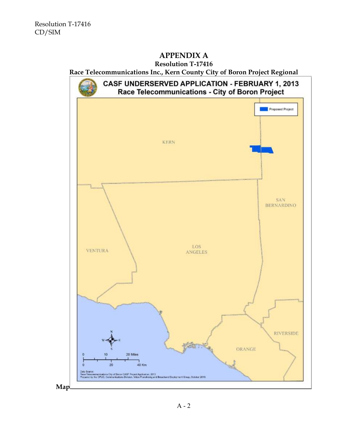# **APPENDIX A**

## **Resolution T-17416**

**Race Telecommunications Inc., Kern County City of Boron Project Regional**

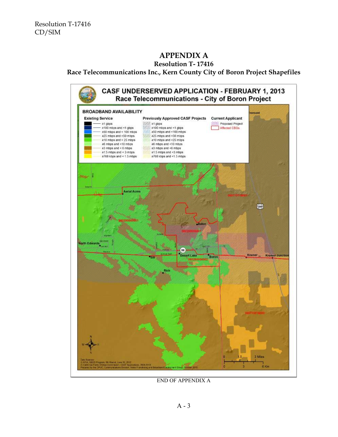## **APPENDIX A**

#### **Resolution T- 17416**

#### **Race Telecommunications Inc., Kern County City of Boron Project Shapefiles**



END OF APPENDIX A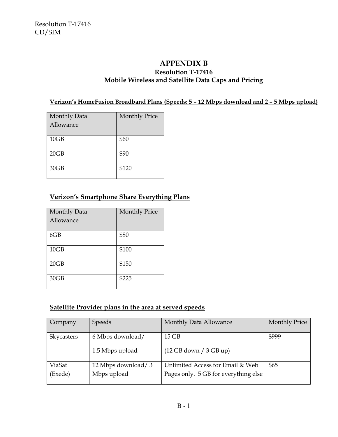## **APPENDIX B**

### **Resolution T-17416 Mobile Wireless and Satellite Data Caps and Pricing**

## **Verizon's HomeFusion Broadband Plans (Speeds: 5 – 12 Mbps download and 2 – 5 Mbps upload)**

| Monthly Data | <b>Monthly Price</b> |
|--------------|----------------------|
| Allowance    |                      |
|              |                      |
| 10GB         | \$60                 |
| 20GB         | \$90                 |
| 30GB         | \$120                |

## **Verizon's Smartphone Share Everything Plans**

| Monthly Data<br>Allowance | <b>Monthly Price</b> |
|---------------------------|----------------------|
| 6GB                       | \$80                 |
| 10GB                      | \$100                |
| 20GB                      | \$150                |
| 30GB                      | \$225                |

#### **Satellite Provider plans in the area at served speeds**

| Company    | <b>Speeds</b>      | Monthly Data Allowance               | <b>Monthly Price</b> |
|------------|--------------------|--------------------------------------|----------------------|
| Skycasters | 6 Mbps download/   | $15$ GB                              | \$999                |
|            | 1.5 Mbps upload    | (12 GB down / 3 GB up)               |                      |
| ViaSat     | 12 Mbps download/3 | Unlimited Access for Email & Web     | \$65                 |
| (Exede)    | Mbps upload        | Pages only. 5 GB for everything else |                      |